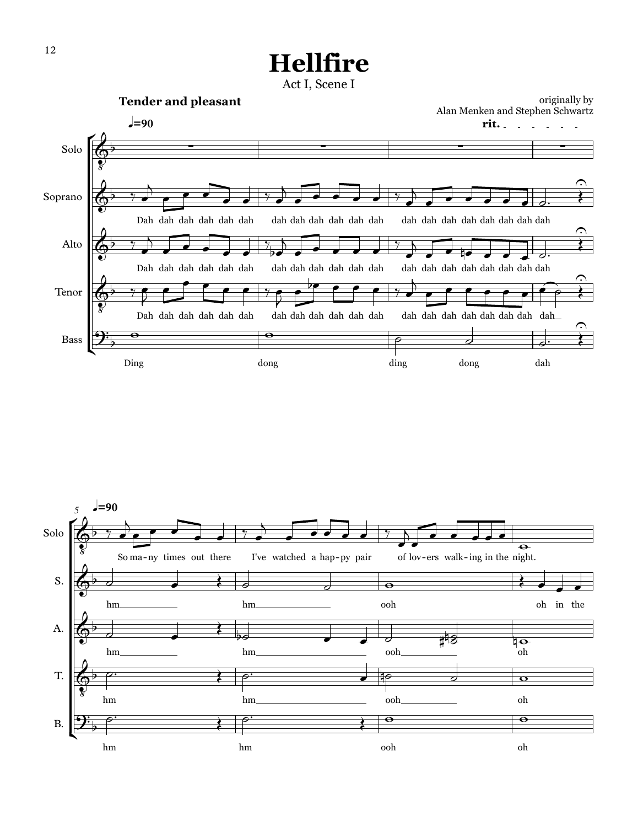

**Hellfire**

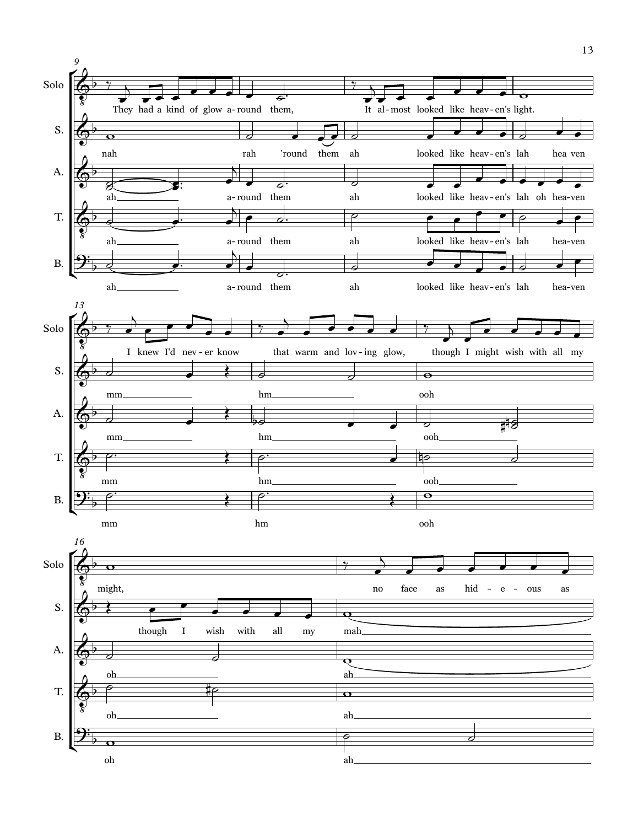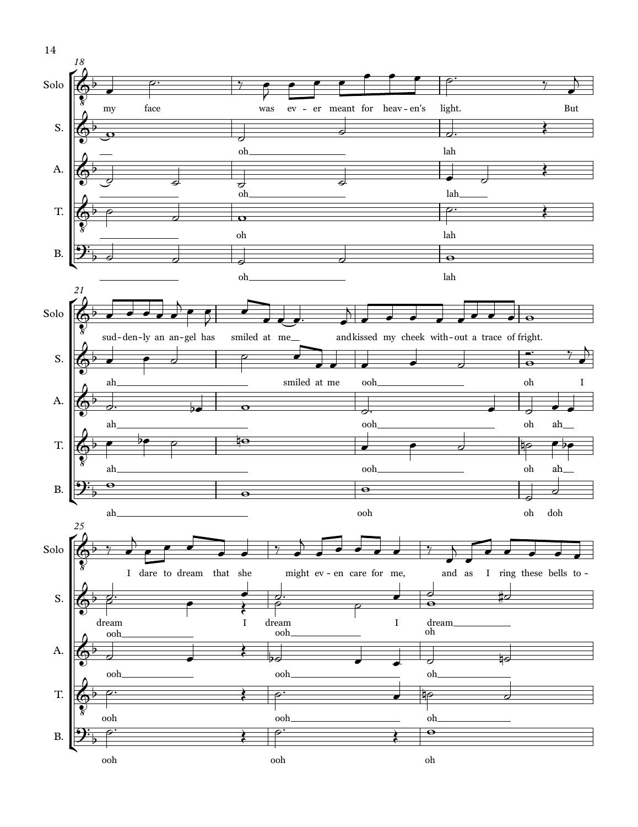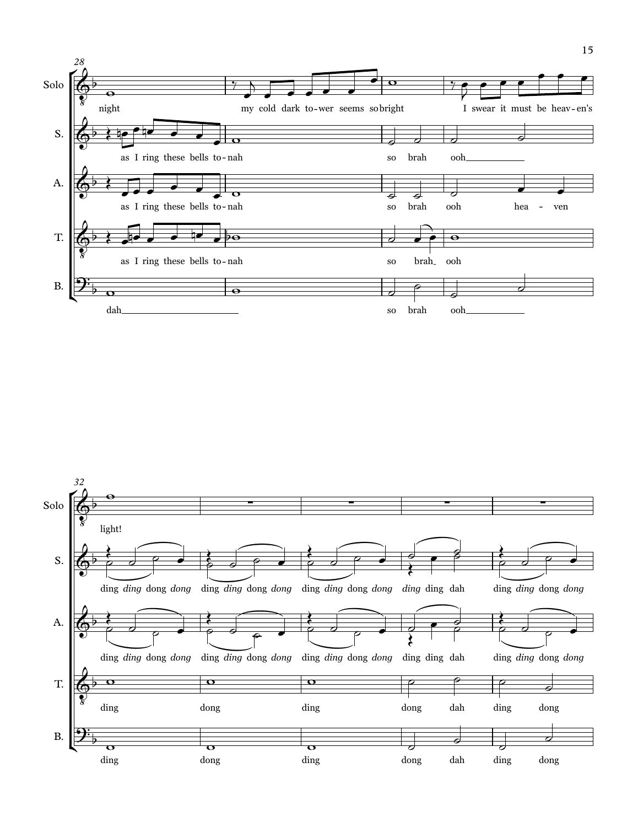

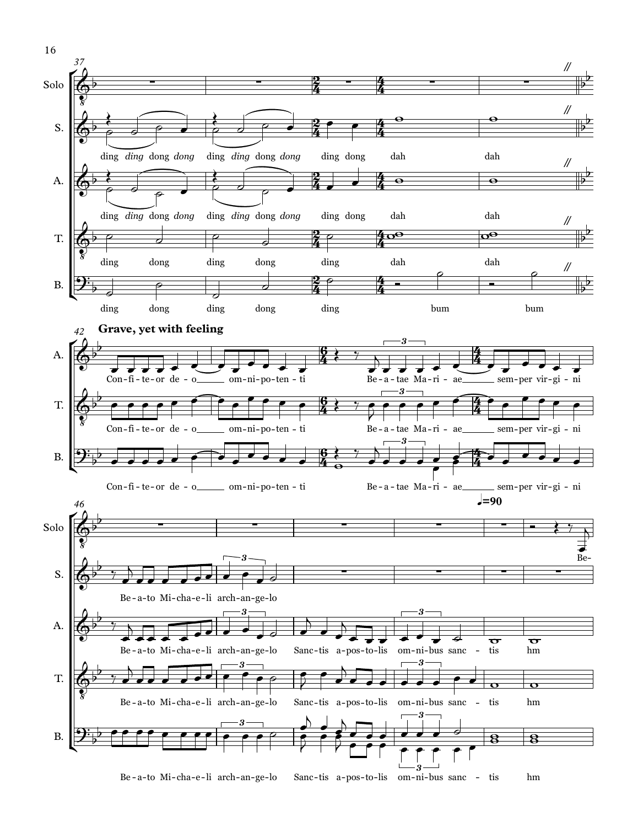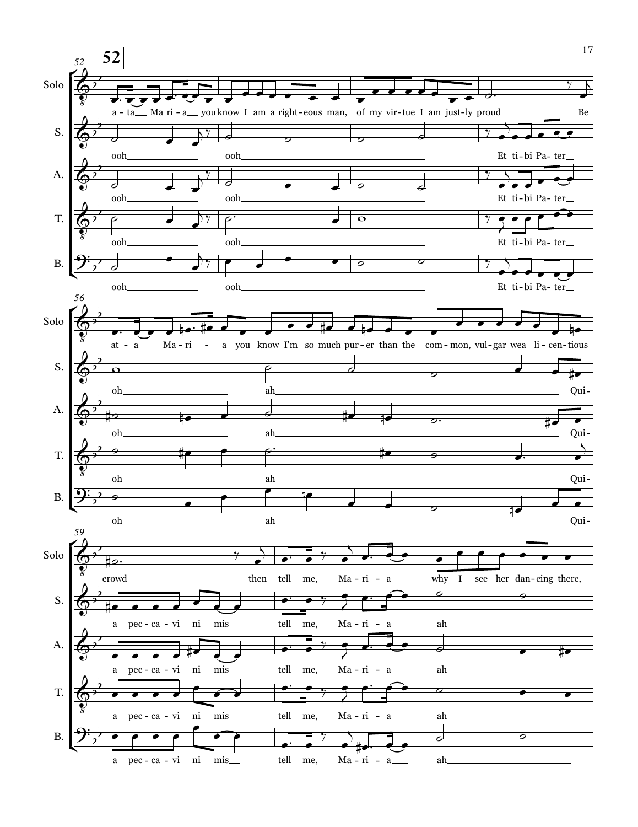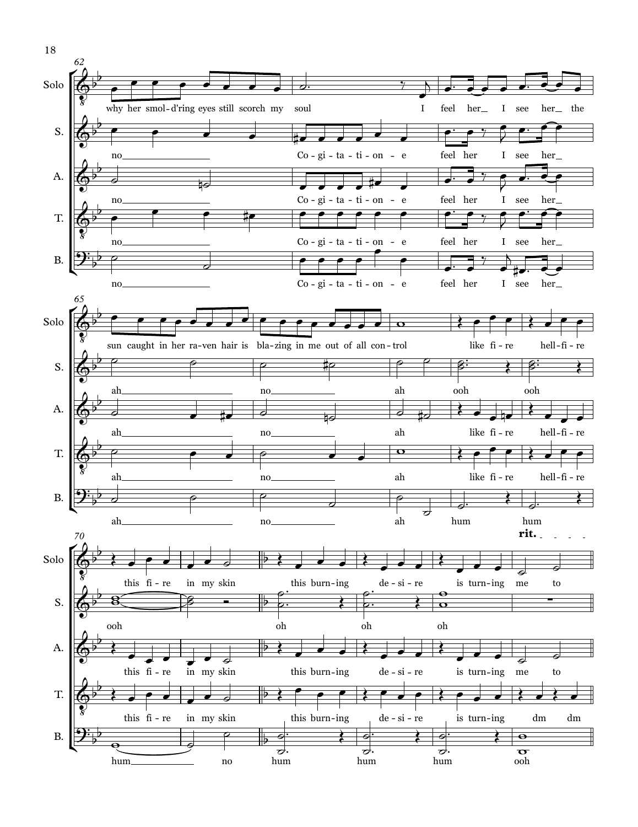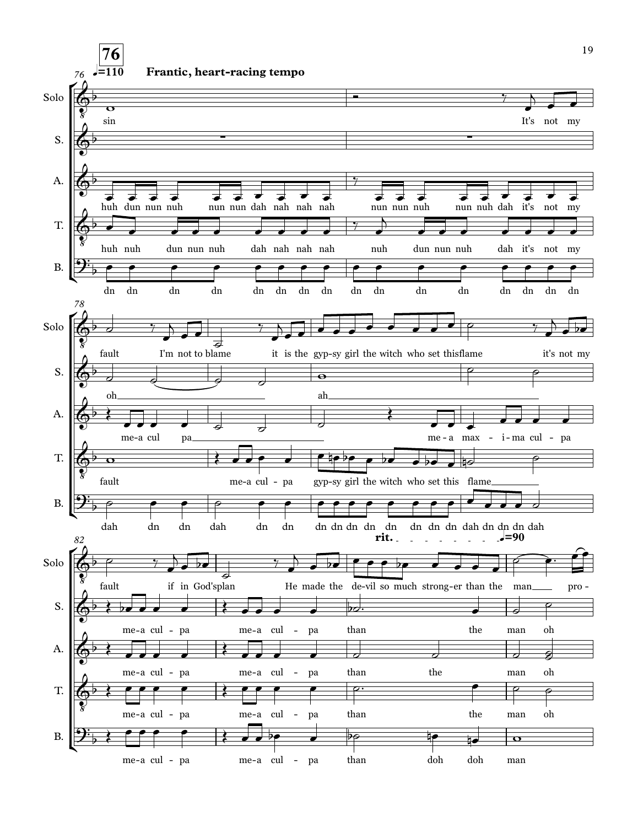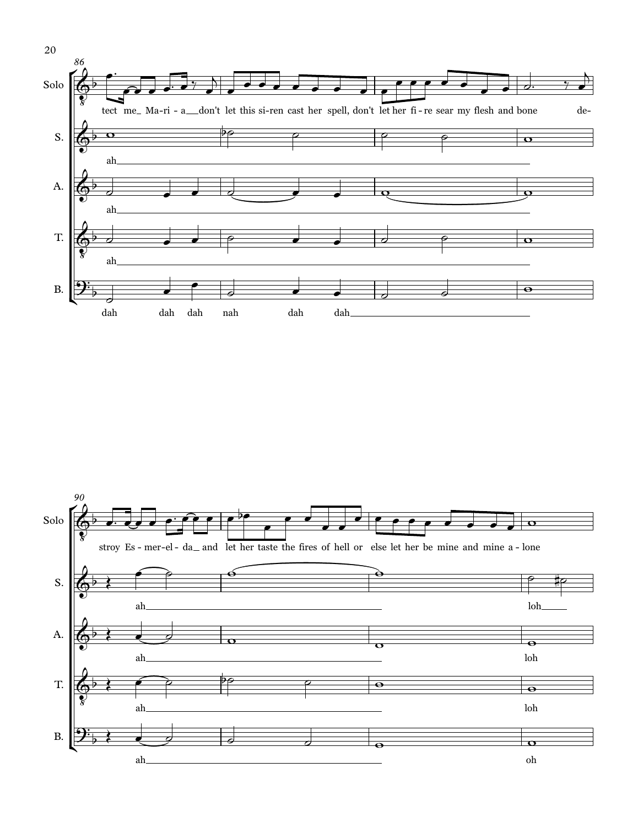

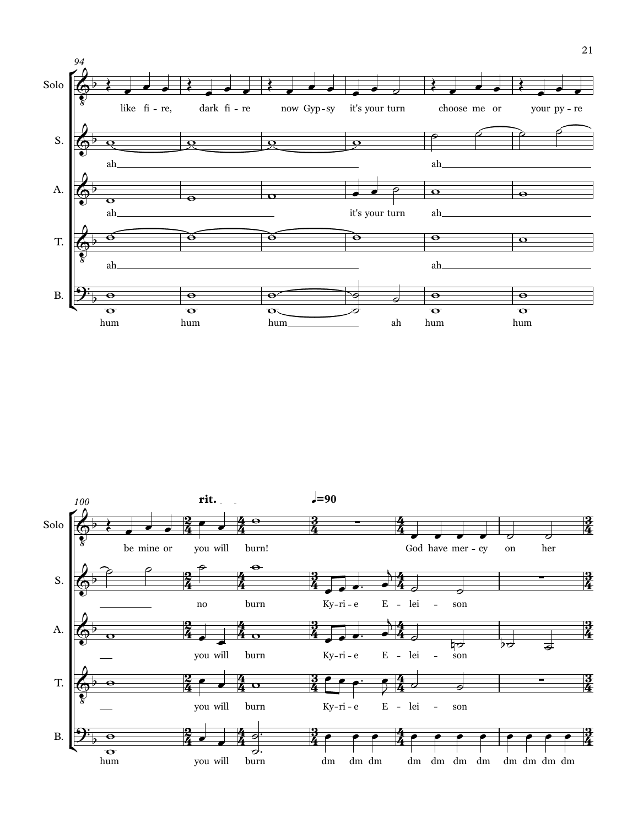